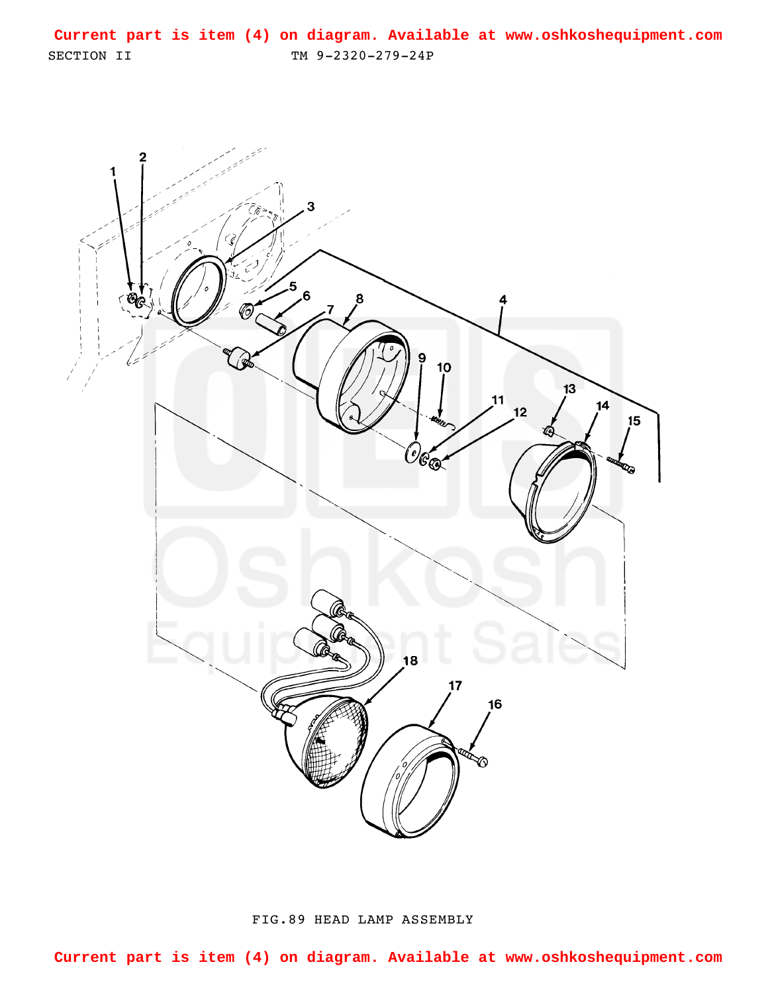<span id="page-0-0"></span>SECTION II TM 9-2320-279-24P **Current part is item (4) on diagram. Available at www.oshkoshequipment.com**



FIG.89 HEAD LAMP ASSEMBLY

**Current part is item (4) on diagram. Available at www.oshkoshequipment.com**